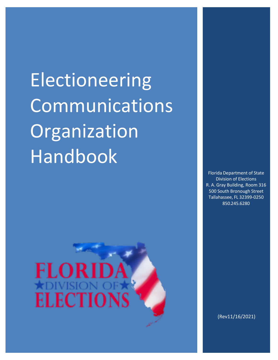**Electioneering** Communications Organization Handbook



Florida Department of State Division of Elections R. A. Gray Building, Room 316 500 South Bronough Street Tallahassee, FL 32399-0250 850.245.6280

(Rev11/16/2021)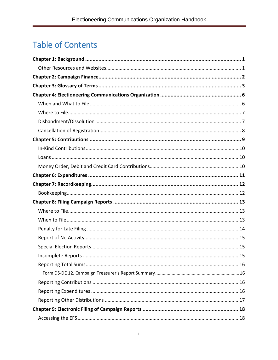# **Table of Contents**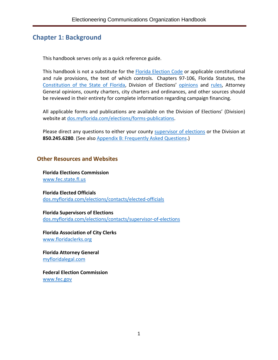# <span id="page-3-0"></span>**Chapter 1: Background**

This handbook serves only as a quick reference guide.

This handbook is not a substitute for the [Florida Election Code](https://dos.myflorida.com/media/699702/election-code.pdf) or applicable constitutional and rule provisions, the text of which controls. Chapters 97-106, Florida Statutes, the [Constitution of the State of Florida,](http://www.leg.state.fl.us/Statutes/index.cfm?Mode=Constitution&Submenu=3&Tab=statutes&CFID=167991000&CFTOKEN=e6f7dd8a6c4814b6-3DEF1D3E-9C67-3689-D4B53F43E5288957) Division of Elections' [opinions](https://dos.myflorida.com/elections/laws-rules/advisory-opinions/) and [rules,](https://dos.myflorida.com/elections/laws-rules/rules/) Attorney General opinions, county charters, city charters and ordinances, and other sources should be reviewed in their entirety for complete information regarding campaign financing.

All applicable forms and publications are available on the Division of Elections' (Division) website at [dos.myflorida.com/elections/forms-publications.](https://dos.myflorida.com/elections/forms-publications/)

Please direct any questions to either your county [supervisor of elections](https://dos.myflorida.com/elections/contacts/supervisor-of-elections/) or the Division at **850.245.6280**. (See also [Appendix B: Frequently Asked Questions.](#page-28-0))

## <span id="page-3-1"></span>**Other Resources and Websites**

**Florida Elections Commission** [www.fec.state.fl.us](http://www.fec.state.fl.us/)

**Florida Elected Officials** [dos.myflorida.com/elections/contacts/elected-officials](https://dos.myflorida.com/elections/contacts/elected-officials)

**Florida Supervisors of Elections** [dos.myflorida.com/elections/contacts/supervisor-of-elections](https://dos.myflorida.com/elections/contacts/supervisor-of-elections)

**Florida Association of City Clerks** [www.floridaclerks.org](https://www.floridaclerks.org/)

**Florida Attorney General** [myfloridalegal.com](http://myfloridalegal.com/)

**Federal Election Commission** [www.fec.gov](https://www.fec.gov/)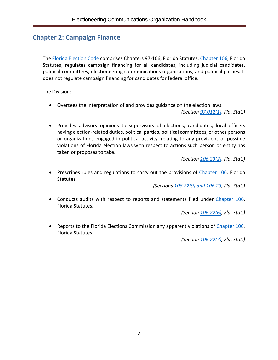# <span id="page-4-0"></span>**Chapter 2: Campaign Finance**

The [Florida Election Code](https://dos.myflorida.com/media/699702/election-code.pdf) comprises Chapters 97-106, Florida Statutes. [Chapter 106,](http://www.leg.state.fl.us/Statutes/index.cfm?App_mode=Display_Statute&URL=0100-0199/0106/0106ContentsIndex.html&StatuteYear=2018&Title=%2D%3E2018%2D%3EChapter%20106) Florida Statutes, regulates campaign financing for all candidates, including judicial candidates, political committees, electioneering communications organizations, and political parties. It does not regulate campaign financing for candidates for federal office.

The Division:

• Oversees the interpretation of and provides guidance on the election laws.

*(Section [97.012\(1\),](http://www.leg.state.fl.us/statutes/index.cfm?App_mode=Display_Statute&Search_String=&URL=0000-0099/0097/Sections/0097.012.html) Fla. Stat.)*

• Provides advisory opinions to supervisors of elections, candidates, local officers having election-related duties, political parties, political committees, or other persons or organizations engaged in political activity, relating to any provisions or possible violations of Florida election laws with respect to actions such person or entity has taken or proposes to take.

*(Section [106.23\(2\),](http://www.leg.state.fl.us/Statutes/index.cfm?App_mode=Display_Statute&Search_String=&URL=0100-0199/0106/Sections/0106.23.html) Fla. Stat.)*

• Prescribes rules and regulations to carry out the provisions of [Chapter 106,](http://www.leg.state.fl.us/Statutes/index.cfm?App_mode=Display_Statute&URL=0100-0199/0106/0106ContentsIndex.html&StatuteYear=2018&Title=%2D%3E2018%2D%3EChapter%20106) Florida Statutes.

*(Sections [106.22\(9\)](http://www.leg.state.fl.us/Statutes/index.cfm?App_mode=Display_Statute&Search_String=&URL=0100-0199/0106/Sections/0106.22.html) and [106.23,](http://www.leg.state.fl.us/statutes/index.cfm?mode=View%20Statutes&SubMenu=1&App_mode=Display_Statute&Search_String=106.23&URL=0100-0199/0106/Sections/0106.23.html) Fla. Stat.)*

• Conducts audits with respect to reports and statements filed under [Chapter 106,](http://www.leg.state.fl.us/Statutes/index.cfm?App_mode=Display_Statute&URL=0100-0199/0106/0106ContentsIndex.html&StatuteYear=2018&Title=%2D%3E2018%2D%3EChapter%20106) Florida Statutes.

*(Section [106.22\(6\),](http://www.leg.state.fl.us/Statutes/index.cfm?App_mode=Display_Statute&Search_String=&URL=0100-0199/0106/Sections/0106.22.html) Fla. Stat.)*

• Reports to the Florida Elections Commission any apparent violations of [Chapter](http://www.leg.state.fl.us/Statutes/index.cfm?App_mode=Display_Statute&URL=0100-0199/0106/0106ContentsIndex.html&StatuteYear=2018&Title=%2D%3E2018%2D%3EChapter%20106) 106, Florida Statutes.

*(Section [106.22\(7\),](http://www.leg.state.fl.us/Statutes/index.cfm?App_mode=Display_Statute&Search_String=&URL=0100-0199/0106/Sections/0106.22.html) Fla. Stat.)*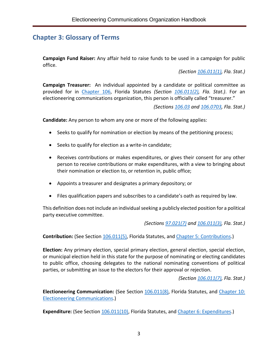# <span id="page-5-0"></span>**Chapter 3: Glossary of Terms**

**Campaign Fund Raiser:** Any affair held to raise funds to be used in a campaign for public office.

*(Section [106.011\(1\),](http://www.leg.state.fl.us/Statutes/index.cfm?App_mode=Display_Statute&Search_String=&URL=0100-0199/0106/Sections/0106.011.html) Fla. Stat.)*

**Campaign Treasurer:** An individual appointed by a candidate or political committee as provided for in [Chapter](http://www.leg.state.fl.us/Statutes/index.cfm?App_mode=Display_Statute&URL=0100-0199/0106/0106ContentsIndex.html&StatuteYear=2018&Title=%2D%3E2018%2D%3EChapter%20106) 106, Florida Statutes *(Section [106.011\(2\),](http://www.leg.state.fl.us/Statutes/index.cfm?App_mode=Display_Statute&Search_String=&URL=0100-0199/0106/Sections/0106.011.html) Fla. Stat.)*. For an electioneering communications organization, this person is officially called "treasurer."

*(Sections [106.03](http://www.leg.state.fl.us/Statutes/index.cfm?App_mode=Display_Statute&Search_String=&URL=0100-0199/0106/Sections/0106.03.html) and [106.0703,](http://www.leg.state.fl.us/Statutes/index.cfm?App_mode=Display_Statute&Search_String=&URL=0100-0199/0106/Sections/0106.0703.html) Fla. Stat.)*

**Candidate:** Any person to whom any one or more of the following applies:

- Seeks to qualify for nomination or election by means of the petitioning process;
- Seeks to qualify for election as a write-in candidate;
- Receives contributions or makes expenditures, or gives their consent for any other person to receive contributions or make expenditures, with a view to bringing about their nomination or election to, or retention in, public office;
- Appoints a treasurer and designates a primary depository; or
- Files qualification papers and subscribes to a candidate's oath as required by law.

This definition does not include an individual seeking a publicly elected position for a political party executive committee.

*(Sections [97.021\(7\)](http://www.leg.state.fl.us/statutes/index.cfm?mode=View%20Statutes&SubMenu=1&App_mode=Display_Statute&Search_String=97.021&URL=0000-0099/0097/Sections/0097.021.html) and [106.011\(3\),](http://www.leg.state.fl.us/Statutes/index.cfm?App_mode=Display_Statute&Search_String=&URL=0100-0199/0106/Sections/0106.011.html) Fla. Stat.)*

**Contribution:** (See Section [106.011\(5\),](http://www.leg.state.fl.us/Statutes/index.cfm?App_mode=Display_Statute&Search_String=&URL=0100-0199/0106/Sections/0106.011.html) Florida Statutes, and Chapter 5: [Contributions.](#page-10-1))

**Election:** Any primary election, special primary election, general election, special election, or municipal election held in this state for the purpose of nominating or electing candidates to public office, choosing delegates to the national nominating conventions of political parties, or submitting an issue to the electors for their approval or rejection.

*(Section [106.011\(7\),](http://www.leg.state.fl.us/Statutes/index.cfm?App_mode=Display_Statute&Search_String=&URL=0100-0199/0106/Sections/0106.011.html) Fla. Stat.)*

**Electioneering Communication:** (See Section [106.011\(8\),](http://www.leg.state.fl.us/Statutes/index.cfm?App_mode=Display_Statute&Search_String=&URL=0100-0199/0106/Sections/0106.011.html) Florida Statutes, and [Chapter 10:](#page-22-0)  [Electioneering Communications.](#page-22-0))

**Expenditure:** (See Section [106.011\(10\),](http://www.leg.state.fl.us/Statutes/index.cfm?App_mode=Display_Statute&Search_String=&URL=0100-0199/0106/Sections/0106.011.html) Florida Statutes, and Chapter 6: [Expenditures.](#page-13-0))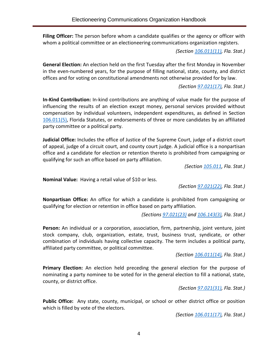**Filing Officer:** The person before whom a candidate qualifies or the agency or officer with whom a political committee or an electioneering communications organization registers.

*(Section [106.011\(11\),](http://www.leg.state.fl.us/Statutes/index.cfm?App_mode=Display_Statute&Search_String=&URL=0100-0199/0106/Sections/0106.011.html) Fla. Stat.)*

**General Election:** An election held on the first Tuesday after the first Monday in November in the even-numbered years, for the purpose of filling national, state, county, and district offices and for voting on constitutional amendments not otherwise provided for by law.

*(Section [97.021\(17\),](http://www.leg.state.fl.us/statutes/index.cfm?mode=View%20Statutes&SubMenu=1&App_mode=Display_Statute&Search_String=97.021&URL=0000-0099/0097/Sections/0097.021.html) Fla. Stat.)*

**In-Kind Contribution:** In-kind contributions are anything of value made for the purpose of influencing the results of an election except money, personal services provided without compensation by individual volunteers, independent expenditures, as defined in Section [106.011\(5\),](http://www.leg.state.fl.us/Statutes/index.cfm?App_mode=Display_Statute&Search_String=&URL=0100-0199/0106/Sections/0106.011.html) Florida Statutes, or endorsements of three or more candidates by an affiliated party committee or a political party.

**Judicial Office:** Includes the office of Justice of the Supreme Court, judge of a district court of appeal, judge of a circuit court, and county court judge. A judicial office is a nonpartisan office and a candidate for election or retention thereto is prohibited from campaigning or qualifying for such an office based on party affiliation.

*(Section [105.011,](http://www.leg.state.fl.us/statutes/index.cfm?mode=View%20Statutes&SubMenu=1&App_mode=Display_Statute&Search_String=105.011&URL=0100-0199/0105/Sections/0105.011.html) Fla. Stat.)*

**Nominal Value:** Having a retail value of \$10 or less.

*(Section [97.021\(22\),](http://www.leg.state.fl.us/statutes/index.cfm?mode=View%20Statutes&SubMenu=1&App_mode=Display_Statute&Search_String=97.021&URL=0000-0099/0097/Sections/0097.021.html) Fla. Stat.)*

**Nonpartisan Office:** An office for which a candidate is prohibited from campaigning or qualifying for election or retention in office based on party affiliation.

*(Sections [97.021\(23\)](http://www.leg.state.fl.us/statutes/index.cfm?mode=View%20Statutes&SubMenu=1&App_mode=Display_Statute&Search_String=97.021&URL=0000-0099/0097/Sections/0097.021.html) and [106.143\(3\),](http://www.leg.state.fl.us/Statutes/index.cfm?App_mode=Display_Statute&Search_String=&URL=0100-0199/0106/Sections/0106.143.html) Fla. Stat.)*

**Person:** An individual or a corporation, association, firm, partnership, joint venture, joint stock company, club, organization, estate, trust, business trust, syndicate, or other combination of individuals having collective capacity. The term includes a political party, affiliated party committee, or political committee.

*(Section [106.011\(14\),](http://www.leg.state.fl.us/Statutes/index.cfm?App_mode=Display_Statute&Search_String=&URL=0100-0199/0106/Sections/0106.011.html) Fla. Stat.)*

**Primary Election:** An election held preceding the general election for the purpose of nominating a party nominee to be voted for in the general election to fill a national, state, county, or district office.

*(Section [97.021\(31\),](http://www.leg.state.fl.us/statutes/index.cfm?mode=View%20Statutes&SubMenu=1&App_mode=Display_Statute&Search_String=97.021&URL=0000-0099/0097/Sections/0097.021.html) Fla. Stat.)*

**Public Office:** Any state, county, municipal, or school or other district office or position which is filled by vote of the electors.

*(Section [106.011\(17\),](http://www.leg.state.fl.us/Statutes/index.cfm?App_mode=Display_Statute&Search_String=&URL=0100-0199/0106/Sections/0106.011.html) Fla. Stat.)*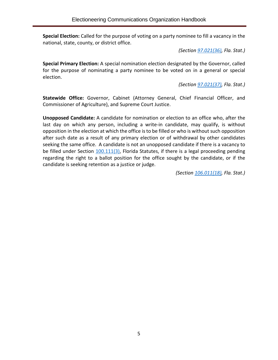**Special Election:** Called for the purpose of voting on a party nominee to fill a vacancy in the national, state, county, or district office.

*(Section [97.021\(36\),](http://www.leg.state.fl.us/statutes/index.cfm?mode=View%20Statutes&SubMenu=1&App_mode=Display_Statute&Search_String=97.021&URL=0000-0099/0097/Sections/0097.021.html) Fla. Stat.)*

**Special Primary Election:** A special nomination election designated by the Governor, called for the purpose of nominating a party nominee to be voted on in a general or special election.

*(Section [97.021\(37\),](http://www.leg.state.fl.us/statutes/index.cfm?mode=View%20Statutes&SubMenu=1&App_mode=Display_Statute&Search_String=97.021&URL=0000-0099/0097/Sections/0097.021.html) Fla. Stat.)*

**Statewide Office:** Governor, Cabinet (Attorney General, Chief Financial Officer, and Commissioner of Agriculture), and Supreme Court Justice.

**Unopposed Candidate:** A candidate for nomination or election to an office who, after the last day on which any person, including a write-in candidate, may qualify, is without opposition in the election at which the office is to be filled or who is without such opposition after such date as a result of any primary election or of withdrawal by other candidates seeking the same office. A candidate is not an unopposed candidate if there is a vacancy to be filled under Section [100.111\(3\),](http://www.leg.state.fl.us/statutes/index.cfm?mode=View%20Statutes&SubMenu=1&App_mode=Display_Statute&Search_String=100.111&URL=0100-0199/0100/Sections/0100.111.html) Florida Statutes, if there is a legal proceeding pending regarding the right to a ballot position for the office sought by the candidate, or if the candidate is seeking retention as a justice or judge.

*(Section [106.011\(18\),](http://www.leg.state.fl.us/Statutes/index.cfm?App_mode=Display_Statute&Search_String=&URL=0100-0199/0106/Sections/0106.011.html) Fla. Stat.)*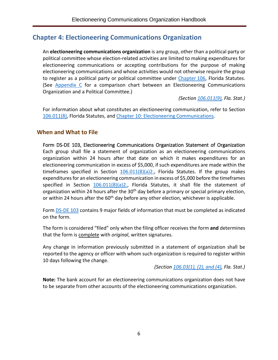# <span id="page-8-0"></span>**Chapter 4: Electioneering Communications Organization**

An **electioneering communications organization** is any group, other than a political party or political committee whose election-related activities are limited to making expenditures for electioneering communications or accepting contributions for the purpose of making electioneering communications and whose activities would not otherwise require the group to register as a political party or political committee under [Chapter](http://www.leg.state.fl.us/Statutes/index.cfm?App_mode=Display_Statute&URL=0100-0199/0106/0106ContentsIndex.html&StatuteYear=2018&Title=%2D%3E2018%2D%3EChapter%20106) 106, Florida Statutes. (See [Appendix C](#page-30-0) for a comparison chart between an Electioneering Communications Organization and a Political Committee.)

*(Section [106.011\(9\),](http://www.leg.state.fl.us/Statutes/index.cfm?App_mode=Display_Statute&Search_String=&URL=0100-0199/0106/Sections/0106.011.html) Fla. Stat.)*

For information about what constitutes an electioneering communication, refer to Section [106.011\(8\),](http://www.leg.state.fl.us/Statutes/index.cfm?App_mode=Display_Statute&Search_String=&URL=0100-0199/0106/Sections/0106.011.html) Florida Statutes, and [Chapter 10: Electioneering Communications.](#page-22-0)

#### <span id="page-8-1"></span>**When and What to File**

Form [DS-DE 103,](http://dos.myflorida.com/media/693290/dsde103.pdf) Electioneering Communications Organization Statement of Organization Each group shall file a statement of organization as an electioneering communications organization within 24 hours after that date on which it makes expenditures for an electioneering communication in excess of \$5,000, if such expenditures are made within the timeframes specified in Section  $106.011(8)(a)2$ ., Florida Statutes. If the group makes expenditures for an electioneering communication in excess of \$5,000 before the timeframes specified in Section  $106.011(8)(a)2$ ., Florida Statutes, it shall file the statement of organization within 24 hours after the  $30<sup>th</sup>$  day before a primary or special primary election, or within 24 hours after the  $60<sup>th</sup>$  day before any other election, whichever is applicable.

Form [DS-DE 103](http://dos.myflorida.com/media/693290/dsde103.pdf) contains 9 major fields of information that must be completed as indicated on the form.

The form is considered "filed" only when the filing officer receives the form **and** determines that the form is complete with *original*, written signatures.

Any change in information previously submitted in a statement of organization shall be reported to the agency or officer with whom such organization is required to register within 10 days following the change.

*(Section [106.03\(1\), \(2\), and \(4\),](http://www.leg.state.fl.us/Statutes/index.cfm?App_mode=Display_Statute&Search_String=&URL=0100-0199/0106/Sections/0106.03.html) Fla. Stat.)*

**Note:** The bank account for an electioneering communications organization does not have to be separate from other accounts of the electioneering communications organization.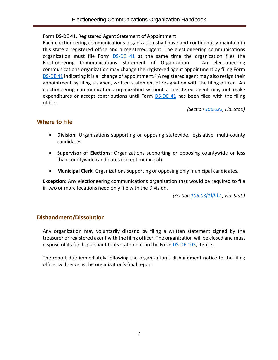#### Form [DS-DE 41,](http://dos.myflorida.com/media/693270/dsde41.pdf) Registered Agent Statement of Appointment

Each electioneering communications organization shall have and continuously maintain in this state a registered office and a registered agent. The electioneering communications organization must file Form [DS-DE 41](http://dos.myflorida.com/media/693270/dsde41.pdf) at the same time the organization files the Electioneering Communications Statement of Organization. An electioneering communications organization may change the registered agent appointment by filing Form [DS-DE](http://dos.myflorida.com/media/693270/dsde41.pdf) 41 indicating it is a "change of appointment." A registered agent may also resign their appointment by filing a signed, written statement of resignation with the filing officer. An electioneering communications organization without a registered agent may not make expenditures or accept contributions until Form **DS-DE 41** has been filed with the filing officer.

*(Section [106.022,](http://www.leg.state.fl.us/Statutes/index.cfm?App_mode=Display_Statute&Search_String=&URL=0100-0199/0106/Sections/0106.022.html) Fla. Stat.)*

## <span id="page-9-0"></span>**Where to File**

- **Division**: Organizations supporting or opposing statewide, legislative, multi-county candidates.
- **Supervisor of Elections**: Organizations supporting or opposing countywide or less than countywide candidates (except municipal).
- **Municipal Clerk**: Organizations supporting or opposing only municipal candidates.

**Exception**: Any electioneering communications organization that would be required to file in two or more locations need only file with the Division.

*(Section [106.03\(1\)\(b\)2.,](http://www.leg.state.fl.us/Statutes/index.cfm?App_mode=Display_Statute&Search_String=&URL=0100-0199/0106/Sections/0106.03.html) Fla. Stat.)*

## <span id="page-9-1"></span>**Disbandment/Dissolution**

Any organization may voluntarily disband by filing a written statement signed by the treasurer or registered agent with the filing officer. The organization will be closed and must dispose of its funds pursuant to its statement on the Form [DS-DE 103,](http://dos.myflorida.com/media/693290/dsde103.pdf) Item 7.

The report due immediately following the organization's disbandment notice to the filing officer will serve as the organization's final report.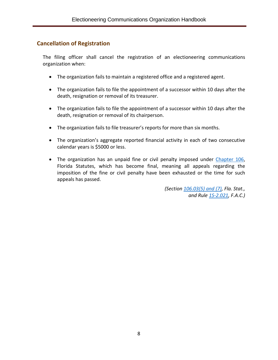## <span id="page-10-0"></span>**Cancellation of Registration**

The filing officer shall cancel the registration of an electioneering communications organization when:

- The organization fails to maintain a registered office and a registered agent.
- The organization fails to file the appointment of a successor within 10 days after the death, resignation or removal of its treasurer.
- The organization fails to file the appointment of a successor within 10 days after the death, resignation or removal of its chairperson.
- The organization fails to file treasurer's reports for more than six months.
- The organization's aggregate reported financial activity in each of two consecutive calendar years is \$5000 or less.
- <span id="page-10-1"></span>• The organization has an unpaid fine or civil penalty imposed under [Chapter 106,](http://www.leg.state.fl.us/Statutes/index.cfm?App_mode=Display_Statute&URL=0100-0199/0106/0106ContentsIndex.html&StatuteYear=2018&Title=%2D%3E2018%2D%3EChapter%20106) Florida Statutes, which has become final, meaning all appeals regarding the imposition of the fine or civil penalty have been exhausted or the time for such appeals has passed.

*(Section [106.03\(5\) and \(7\),](http://www.leg.state.fl.us/Statutes/index.cfm?App_mode=Display_Statute&Search_String=&URL=0100-0199/0106/Sections/0106.03.html) Fla. Stat., and Rule [1S-2.021,](https://www.flrules.org/gateway/RuleNo.asp?title=ELECTIONS&ID=1S-2.021) F.A.C.)*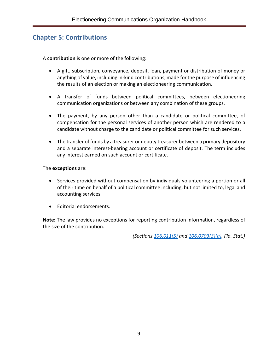# <span id="page-11-0"></span>**Chapter 5: Contributions**

A **contribution** is one or more of the following:

- A gift, subscription, conveyance, deposit, loan, payment or distribution of money or anything of value, including in-kind contributions, made for the purpose of influencing the results of an election or making an electioneering communication.
- A transfer of funds between political committees, between electioneering communication organizations or between any combination of these groups.
- The payment, by any person other than a candidate or political committee, of compensation for the personal services of another person which are rendered to a candidate without charge to the candidate or political committee for such services.
- The transfer of funds by a treasurer or deputy treasurer between a primary depository and a separate interest-bearing account or certificate of deposit. The term includes any interest earned on such account or certificate.

The **exceptions** are:

- Services provided without compensation by individuals volunteering a portion or all of their time on behalf of a political committee including, but not limited to, legal and accounting services.
- Editorial endorsements.

**Note:** The law provides no exceptions for reporting contribution information, regardless of the size of the contribution.

*(Sections [106.011\(5\)](http://www.leg.state.fl.us/Statutes/index.cfm?App_mode=Display_Statute&Search_String=&URL=0100-0199/0106/Sections/0106.011.html) and [106.0703\(3\)\(a\),](http://www.leg.state.fl.us/Statutes/index.cfm?App_mode=Display_Statute&Search_String=&URL=0100-0199/0106/Sections/0106.0703.html) Fla. Stat.)*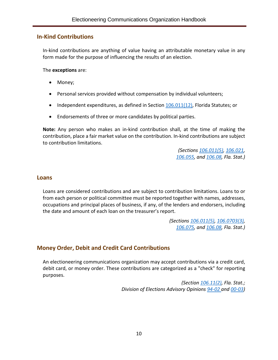#### <span id="page-12-0"></span>**In-Kind Contributions**

In-kind contributions are anything of value having an attributable monetary value in any form made for the purpose of influencing the results of an election.

The **exceptions** are:

- Money;
- Personal services provided without compensation by individual volunteers;
- Independent expenditures, as defined in Section [106.011\(12\),](http://www.leg.state.fl.us/Statutes/index.cfm?App_mode=Display_Statute&Search_String=&URL=0100-0199/0106/Sections/0106.011.html) Florida Statutes; or
- Endorsements of three or more candidates by political parties.

**Note:** Any person who makes an in-kind contribution shall, at the time of making the contribution, place a fair market value on the contribution. In-kind contributions are subject to contribution limitations.

> *(Sections [106.011\(5\),](http://www.leg.state.fl.us/Statutes/index.cfm?App_mode=Display_Statute&Search_String=&URL=0100-0199/0106/Sections/0106.011.html) [106.021,](http://www.leg.state.fl.us/Statutes/index.cfm?App_mode=Display_Statute&Search_String=&URL=0100-0199/0106/Sections/0106.021.html) [106.055,](http://www.leg.state.fl.us/Statutes/index.cfm?App_mode=Display_Statute&Search_String=&URL=0100-0199/0106/Sections/0106.055.html) and [106.08,](http://www.leg.state.fl.us/Statutes/index.cfm?App_mode=Display_Statute&Search_String=&URL=0100-0199/0106/Sections/0106.08.html) Fla. Stat.)*

#### <span id="page-12-1"></span>**Loans**

Loans are considered contributions and are subject to contribution limitations. Loans to or from each person or political committee must be reported together with names, addresses, occupations and principal places of business, if any, of the lenders and endorsers, including the date and amount of each loan on the treasurer's report.

> *(Sections [106.011\(5\),](http://www.leg.state.fl.us/Statutes/index.cfm?App_mode=Display_Statute&Search_String=&URL=0100-0199/0106/Sections/0106.011.html) [106.0703\(3\),](http://www.leg.state.fl.us/Statutes/index.cfm?App_mode=Display_Statute&Search_String=&URL=0100-0199/0106/Sections/0106.0703.html) [106.075,](http://www.leg.state.fl.us/Statutes/index.cfm?App_mode=Display_Statute&Search_String=&URL=0100-0199/0106/Sections/0106.075.html) and [106.08,](http://www.leg.state.fl.us/Statutes/index.cfm?App_mode=Display_Statute&Search_String=&URL=0100-0199/0106/Sections/0106.08.html) Fla. Stat.)*

## <span id="page-12-2"></span>**Money Order, Debit and Credit Card Contributions**

An electioneering communications organization may accept contributions via a credit card, debit card, or money order. These contributions are categorized as a "check" for reporting purposes.

> *(Section [106.11\(2\),](http://www.leg.state.fl.us/Statutes/index.cfm?App_mode=Display_Statute&Search_String=&URL=0100-0199/0106/Sections/0106.11.html) Fla. Stat.; Division of Elections Advisory Opinions [94-02](http://opinions.dos.state.fl.us/searchable/pdf/1994/de9402.pdf) and [00-03\)](http://opinions.dos.state.fl.us/searchable/pdf/2000/de0003.pdf)*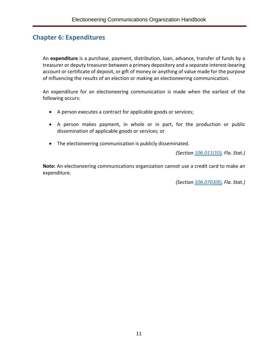# <span id="page-13-0"></span>**Chapter 6: Expenditures**

An **expenditure** is a purchase, payment, distribution, loan, advance, transfer of funds by a treasurer or deputy treasurer between a primary depository and a separate interest-bearing account or certificate of deposit, or gift of money or anything of value made for the purpose of influencing the results of an election or making an electioneering communication.

An expenditure for an electioneering communication is made when the earliest of the following occurs:

- A person executes a contract for applicable goods or services;
- A person makes payment, in whole or in part, for the production or public dissemination of applicable goods or services; or
- The electioneering communication is publicly disseminated.

*(Section [106.011\(10\),](http://www.leg.state.fl.us/Statutes/index.cfm?App_mode=Display_Statute&Search_String=&URL=0100-0199/0106/Sections/0106.011.html) Fla. Stat.)*

**Note:** An electioneering communications organization cannot use a credit card to make an expenditure.

*(Section [106.0703\(8\),](http://www.leg.state.fl.us/Statutes/index.cfm?App_mode=Display_Statute&Search_String=&URL=0100-0199/0106/Sections/0106.0703.html) Fla. Stat.)*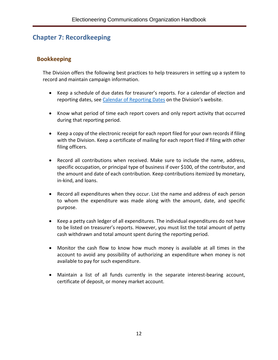# <span id="page-14-0"></span>**Chapter 7: Recordkeeping**

## <span id="page-14-1"></span>**Bookkeeping**

The Division offers the following best practices to help treasurers in setting up a system to record and maintain campaign information.

- Keep a schedule of due dates for treasurer's reports. For a calendar of election and reporting dates, see [Calendar of Reporting Dates](https://dos.myflorida.com/elections/candidates-committees/campaign-finance/) on the Division's website.
- Know what period of time each report covers and only report activity that occurred during that reporting period.
- Keep a copy of the electronic receipt for each report filed for your own records if filing with the Division. Keep a certificate of mailing for each report filed if filing with other filing officers.
- Record all contributions when received. Make sure to include the name, address, specific occupation, or principal type of business if over \$100, of the contributor, and the amount and date of each contribution. Keep contributions itemized by monetary, in-kind, and loans.
- Record all expenditures when they occur. List the name and address of each person to whom the expenditure was made along with the amount, date, and specific purpose.
- Keep a petty cash ledger of all expenditures. The individual expenditures do not have to be listed on treasurer's reports. However, you must list the total amount of petty cash withdrawn and total amount spent during the reporting period.
- Monitor the cash flow to know how much money is available at all times in the account to avoid any possibility of authorizing an expenditure when money is not available to pay for such expenditure.
- Maintain a list of all funds currently in the separate interest-bearing account, certificate of deposit, or money market account.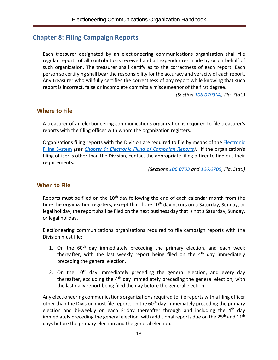## <span id="page-15-0"></span>**Chapter 8: Filing Campaign Reports**

Each treasurer designated by an electioneering communications organization shall file regular reports of all contributions received and all expenditures made by or on behalf of such organization. The treasurer shall certify as to the correctness of each report. Each person so certifying shall bear the responsibility for the accuracy and veracity of each report. Any treasurer who willfully certifies the correctness of any report while knowing that such report is incorrect, false or incomplete commits a misdemeanor of the first degree.

*(Section [106.0703\(4\),](http://www.leg.state.fl.us/Statutes/index.cfm?App_mode=Display_Statute&Search_String=&URL=0100-0199/0106/Sections/0106.0703.html) Fla. Stat.)*

#### <span id="page-15-1"></span>**Where to File**

A treasurer of an electioneering communications organization is required to file treasurer's reports with the filing officer with whom the organization registers.

Organizations filing reports with the Division are required to file by means of the *Electronic* [Filing System](https://efs.dos.state.fl.us/) *(see [Chapter 9: Electronic Filing of Campaign Reports\)](#page-20-0)*. If the organization's filing officer is other than the Division, contact the appropriate filing officer to find out their requirements.

*(Sections [106.0703](http://www.leg.state.fl.us/Statutes/index.cfm?App_mode=Display_Statute&Search_String=&URL=0100-0199/0106/Sections/0106.0703.html) and [106.0705,](http://www.leg.state.fl.us/Statutes/index.cfm?App_mode=Display_Statute&Search_String=&URL=0100-0199/0106/Sections/0106.0705.html) Fla. Stat.)*

#### <span id="page-15-2"></span>**When to File**

Reports must be filed on the  $10<sup>th</sup>$  day following the end of each calendar month from the time the organization registers, except that if the  $10<sup>th</sup>$  day occurs on a Saturday, Sunday, or legal holiday, the report shall be filed on the next business day that is not a Saturday, Sunday, or legal holiday.

Electioneering communications organizations required to file campaign reports with the Division must file:

- 1. On the  $60<sup>th</sup>$  day immediately preceding the primary election, and each week thereafter, with the last weekly report being filed on the  $4<sup>th</sup>$  day immediately preceding the general election.
- 2. On the  $10<sup>th</sup>$  day immediately preceding the general election, and every day thereafter, excluding the  $4<sup>th</sup>$  day immediately preceding the general election, with the last daily report being filed the day before the general election.

Any electioneering communications organizations required to file reports with a filing officer other than the Division must file reports on the 60<sup>th</sup> day immediately preceding the primary election and bi-weekly on each Friday thereafter through and including the  $4<sup>th</sup>$  day immediately preceding the general election, with additional reports due on the 25<sup>th</sup> and 11<sup>th</sup> days before the primary election and the general election.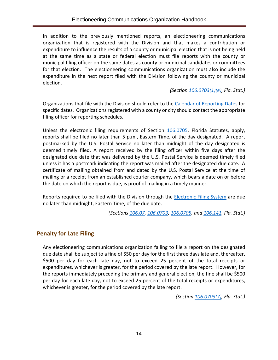In addition to the previously mentioned reports, an electioneering communications organization that is registered with the Division and that makes a contribution or expenditure to influence the results of a county or municipal election that is not being held at the same time as a state or federal election must file reports with the county or municipal filing officer on the same dates as county or municipal candidates or committees for that election. The electioneering communications organization must also include the expenditure in the next report filed with the Division following the county or municipal election.

*(Section [106.0703\(1\)\(e\),](http://www.leg.state.fl.us/Statutes/index.cfm?App_mode=Display_Statute&Search_String=&URL=0100-0199/0106/Sections/0106.0703.html) Fla. Stat.)*

Organizations that file with the Division should refer to the [Calendar of Reporting Dates](https://dos.myflorida.com/elections/candidates-committees/campaign-finance/) for specific dates. Organizations registered with a county or city should contact the appropriate filing officer for reporting schedules.

Unless the electronic filing requirements of Section [106.0705,](http://www.leg.state.fl.us/Statutes/index.cfm?App_mode=Display_Statute&Search_String=&URL=0100-0199/0106/Sections/0106.0705.html) Florida Statutes, apply, reports shall be filed no later than 5 p.m., Eastern Time, of the day designated. A report postmarked by the U.S. Postal Service no later than midnight of the day designated is deemed timely filed. A report received by the filing officer within five days after the designated due date that was delivered by the U.S. Postal Service is deemed timely filed unless it has a postmark indicating the report was mailed after the designated due date. A certificate of mailing obtained from and dated by the U.S. Postal Service at the time of mailing or a receipt from an established courier company, which bears a date on or before the date on which the report is due, is proof of mailing in a timely manner.

Reports required to be filed with the Division through the **Electronic Filing System** are due no later than midnight, Eastern Time, of the due date.

*(Sections [106.07,](http://www.leg.state.fl.us/Statutes/index.cfm?App_mode=Display_Statute&Search_String=&URL=0100-0199/0106/Sections/0106.07.html) [106.0703,](http://www.leg.state.fl.us/Statutes/index.cfm?App_mode=Display_Statute&Search_String=&URL=0100-0199/0106/Sections/0106.0703.html) [106.0705,](http://www.leg.state.fl.us/Statutes/index.cfm?App_mode=Display_Statute&Search_String=&URL=0100-0199/0106/Sections/0106.0705.html) and [106.141,](http://www.leg.state.fl.us/Statutes/index.cfm?App_mode=Display_Statute&Search_String=&URL=0100-0199/0106/Sections/0106.141.html) Fla. Stat.)*

## <span id="page-16-0"></span>**Penalty for Late Filing**

Any electioneering communications organization failing to file a report on the designated due date shall be subject to a fine of \$50 per day for the first three days late and, thereafter, \$500 per day for each late day, not to exceed 25 percent of the total receipts or expenditures, whichever is greater, for the period covered by the late report. However, for the reports immediately preceding the primary and general election, the fine shall be \$500 per day for each late day, not to exceed 25 percent of the total receipts or expenditures, whichever is greater, for the period covered by the late report.

*(Section [106.0703\(7\),](http://www.leg.state.fl.us/Statutes/index.cfm?App_mode=Display_Statute&Search_String=&URL=0100-0199/0106/Sections/0106.0703.html) Fla. Stat.)*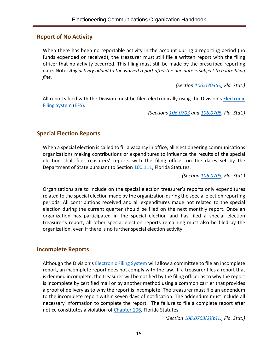#### <span id="page-17-0"></span>**Report of No Activity**

When there has been no reportable activity in the account during a reporting period (no funds expended or received), the treasurer must still file a written report with the filing officer that no activity occurred. This filing must still be made by the prescribed reporting date. Note: *Any activity added to the waived report after the due date is subject to a late filing fine.*

*(Section [106.0703\(6\),](http://www.leg.state.fl.us/Statutes/index.cfm?App_mode=Display_Statute&Search_String=&URL=0100-0199/0106/Sections/0106.0703.html) Fla. Stat.)*

All reports filed with the Division must be filed electronically using the Division's *Electronic* [Filing System](https://efs.dos.state.fl.us/) [\(EFS\)](https://efs.dos.state.fl.us/).

*(Sections [106.0703](http://www.leg.state.fl.us/Statutes/index.cfm?App_mode=Display_Statute&Search_String=&URL=0100-0199/0106/Sections/0106.0703.html) and [106.0705,](http://www.leg.state.fl.us/Statutes/index.cfm?App_mode=Display_Statute&Search_String=&URL=0100-0199/0106/Sections/0106.0705.html) Fla. Stat.)*

## <span id="page-17-1"></span>**Special Election Reports**

When a special election is called to fill a vacancy in office, all electioneering communications organizations making contributions or expenditures to influence the results of the special election shall file treasurers' reports with the filing officer on the dates set by the Department of State pursuant to Section [100.111,](http://www.leg.state.fl.us/statutes/index.cfm?mode=View%20Statutes&SubMenu=1&App_mode=Display_Statute&Search_String=100.111&URL=0100-0199/0100/Sections/0100.111.html) Florida Statutes.

*(Section [106.0703,](http://www.leg.state.fl.us/Statutes/index.cfm?App_mode=Display_Statute&Search_String=&URL=0100-0199/0106/Sections/0106.0703.html) Fla. Stat.)*

Organizations are to include on the special election treasurer's reports only expenditures related to the special election made by the organization during the special election reporting periods. All contributions received and all expenditures made not related to the special election during the current quarter should be filed on the next monthly report. Once an organization has participated in the special election and has filed a special election treasurer's report, all other special election reports remaining must also be filed by the organization, even if there is no further special election activity.

#### <span id="page-17-2"></span>**Incomplete Reports**

Although the Division's [Electronic Filing System](https://efs.dos.state.fl.us/) will allow a committee to file an incomplete report, an incomplete report does not comply with the law. If a treasurer files a report that is deemed incomplete, the treasurer will be notified by the filing officer as to why the report is incomplete by certified mail or by another method using a common carrier that provides a proof of delivery as to why the report is incomplete. The treasurer must file an addendum to the incomplete report within seven days of notification. The addendum must include all necessary information to complete the report. The failure to file a complete report after notice constitutes a violation o[f Chapter 106,](http://www.leg.state.fl.us/Statutes/index.cfm?App_mode=Display_Statute&URL=0100-0199/0106/0106ContentsIndex.html&StatuteYear=2018&Title=%2D%3E2018%2D%3EChapter%20106) Florida Statutes.

*(Section [106.0703\(2\)\(b\)1.,](http://www.leg.state.fl.us/Statutes/index.cfm?App_mode=Display_Statute&Search_String=&URL=0100-0199/0106/Sections/0106.0703.html) Fla. Stat.)*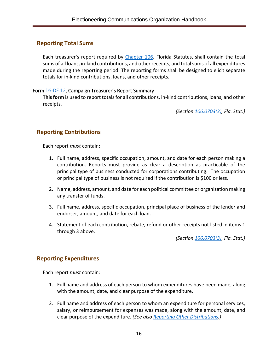## <span id="page-18-0"></span>**Reporting Total Sums**

Each treasurer's report required by [Chapter 106,](http://www.leg.state.fl.us/Statutes/index.cfm?App_mode=Display_Statute&URL=0100-0199/0106/0106ContentsIndex.html&StatuteYear=2018&Title=%2D%3E2018%2D%3EChapter%20106) Florida Statutes, shall contain the total sums of all loans, in-kind contributions, and other receipts, and total sums of all expenditures made during the reporting period. The reporting forms shall be designed to elicit separate totals for in-kind contributions, loans, and other receipts.

#### <span id="page-18-1"></span>Form [DS-DE 12,](https://dos.myflorida.com/media/693241/dsde12.pdf) Campaign Treasurer's Report Summary

**This form** is used to report totals for all contributions, in-kind contributions, loans, and other receipts.

*(Section [106.0703\(3\),](http://www.leg.state.fl.us/Statutes/index.cfm?App_mode=Display_Statute&Search_String=&URL=0100-0199/0106/Sections/0106.0703.html) Fla. Stat.)*

## <span id="page-18-2"></span>**Reporting Contributions**

Each report *must* contain:

- 1. Full name, address, specific occupation, amount, and date for each person making a contribution. Reports must provide as clear a description as practicable of the principal type of business conducted for corporations contributing. The occupation or principal type of business is not required if the contribution is \$100 or less.
- 2. Name, address, amount, and date for each political committee or organization making any transfer of funds.
- 3. Full name, address, specific occupation, principal place of business of the lender and endorser, amount, and date for each loan.
- 4. Statement of each contribution, rebate, refund or other receipts not listed in items 1 through 3 above.

*(Section [106.0703\(3\),](http://www.leg.state.fl.us/Statutes/index.cfm?App_mode=Display_Statute&Search_String=&URL=0100-0199/0106/Sections/0106.0703.html) Fla. Stat.)*

## <span id="page-18-3"></span>**Reporting Expenditures**

Each report *must* contain:

- 1. Full name and address of each person to whom expenditures have been made, along with the amount, date, and clear purpose of the expenditure.
- 2. Full name and address of each person to whom an expenditure for personal services, salary, or reimbursement for expenses was made, along with the amount, date, and clear purpose of the expenditure. *(See als[o Reporting Other Distributions.](#page-19-0))*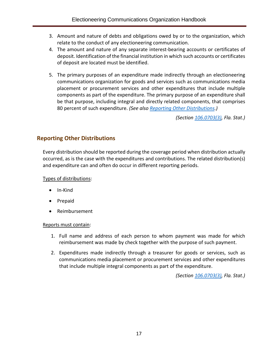- 3. Amount and nature of debts and obligations owed by or to the organization, which relate to the conduct of any electioneering communication.
- 4. The amount and nature of any separate interest-bearing accounts or certificates of deposit. Identification of the financial institution in which such accounts or certificates of deposit are located must be identified.
- 5. The primary purposes of an expenditure made indirectly through an electioneering communications organization for goods and services such as communications media placement or procurement services and other expenditures that include multiple components as part of the expenditure. The primary purpose of an expenditure shall be that purpose, including integral and directly related components, that comprises 80 percent of such expenditure. *(See also [Reporting Other Distributions.](#page-19-0))*

*(Section [106.0703\(3\),](http://www.leg.state.fl.us/Statutes/index.cfm?App_mode=Display_Statute&Search_String=&URL=0100-0199/0106/Sections/0106.0703.html) Fla. Stat.)*

## <span id="page-19-0"></span>**Reporting Other Distributions**

Every distribution should be reported during the coverage period when distribution actually occurred, as is the case with the expenditures and contributions. The related distribution(s) and expenditure can and often do occur in different reporting periods.

Types of distributions:

- In-Kind
- Prepaid
- Reimbursement

#### Reports must contain:

- 1. Full name and address of each person to whom payment was made for which reimbursement was made by check together with the purpose of such payment.
- 2. Expenditures made indirectly through a treasurer for goods or services, such as communications media placement or procurement services and other expenditures that include multiple integral components as part of the expenditure.

*(Section [106.0703\(3\),](http://www.leg.state.fl.us/Statutes/index.cfm?App_mode=Display_Statute&Search_String=&URL=0100-0199/0106/Sections/0106.0703.html) Fla. Stat.)*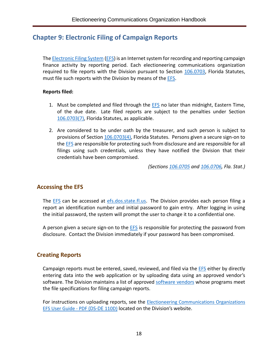# <span id="page-20-0"></span>**Chapter 9: Electronic Filing of Campaign Reports**

Th[e Electronic Filing System](https://efs.dos.state.fl.us/) [\(EFS\)](https://efs.dos.state.fl.us/) is an Internet system for recording and reporting campaign finance activity by reporting period. Each electioneering communications organization required to file reports with the Division pursuant to Section [106.0703,](http://www.leg.state.fl.us/Statutes/index.cfm?App_mode=Display_Statute&Search_String=&URL=0100-0199/0106/Sections/0106.0703.html) Florida Statutes, must file such reports with the Division by means of the **EFS**.

#### **Reports filed:**

- 1. Must be completed and filed through the **EFS** no later than midnight, Eastern Time, of the due date. Late filed reports are subject to the penalties under Section [106.0703\(7\),](http://www.leg.state.fl.us/Statutes/index.cfm?App_mode=Display_Statute&Search_String=&URL=0100-0199/0106/Sections/0106.0703.html) Florida Statutes, as applicable.
- 2. Are considered to be under oath by the treasurer, and such person is subject to provisions of Section [106.0703\(4\),](http://www.leg.state.fl.us/Statutes/index.cfm?App_mode=Display_Statute&Search_String=&URL=0100-0199/0106/Sections/0106.0703.html) Florida Statutes. Persons given a secure sign-on to the **EFS** are responsible for protecting such from disclosure and are responsible for all filings using such credentials, unless they have notified the Division that their credentials have been compromised.

*(Sections [106.0705](http://www.leg.state.fl.us/Statutes/index.cfm?App_mode=Display_Statute&Search_String=&URL=0100-0199/0106/Sections/0106.0705.html) and [106.0706,](http://www.leg.state.fl.us/Statutes/index.cfm?App_mode=Display_Statute&Search_String=&URL=0100-0199/0106/Sections/0106.0706.html) Fla. Stat.)*

#### <span id="page-20-1"></span>**Accessing the EFS**

The [EFS](https://efs.dos.state.fl.us/) can be accessed at [efs.dos.state.fl.us.](https://efs.dos.state.fl.us/) The Division provides each person filing a report an identification number and initial password to gain entry. After logging in using the initial password, the system will prompt the user to change it to a confidential one.

A person given a secure sign-on to the [EFS](https://efs.dos.state.fl.us/Default.aspx) is responsible for protecting the password from disclosure. Contact the Division immediately if your password has been compromised.

#### <span id="page-20-2"></span>**Creating Reports**

Campaign reports must be entered, saved, reviewed, and filed via the [EFS](https://efs.dos.state.fl.us/) either by directly entering data into the web application or by uploading data using an approved vendor's software. The Division maintains a list of approved [software vendors](https://dos.myflorida.com/elections/candidates-committees/campaign-finance/filing-campaign-reports/vendors/) whose programs meet the file specifications for filing campaign reports.

For instructions on uploading reports, see the **Electioneering Communications Organizations** [EFS User Guide -](https://dos.myflorida.com/elections/candidates-committees/campaign-finance/filing-campaign-reports/) PDF (DS-DE 110D) located on the Division's website.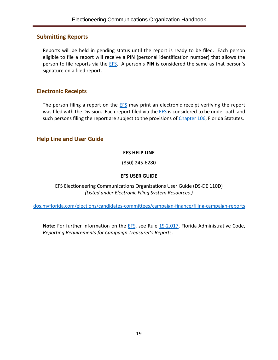#### <span id="page-21-0"></span>**Submitting Reports**

Reports will be held in pending status until the report is ready to be filed. Each person eligible to file a report will receive a **PIN** (personal identification number) that allows the person to file reports via the [EFS.](https://efs.dos.state.fl.us/) A person's **PIN** is considered the same as that person's signature on a filed report.

#### <span id="page-21-1"></span>**Electronic Receipts**

The person filing a report on the **EFS** may print an electronic receipt verifying the report was filed with the Division. Each report filed via the **EFS** is considered to be under oath and such persons filing the report are subject to the provisions o[f Chapter 106,](http://www.leg.state.fl.us/Statutes/index.cfm?App_mode=Display_Statute&URL=0100-0199/0106/0106ContentsIndex.html&StatuteYear=2018&Title=%2D%3E2018%2D%3EChapter%20106) Florida Statutes.

## <span id="page-21-2"></span>**Help Line and User Guide**

#### **EFS HELP LINE**

(850) 245-6280

#### **EFS USER GUIDE**

EFS Electioneering Communications Organizations User Guide (DS-DE 110D) *(Listed under Electronic Filing System Resources.)*

[dos.myflorida.com/elections/candidates-committees/campaign-finance/filing-campaign-reports](https://dos.myflorida.com/elections/candidates-committees/campaign-finance/filing-campaign-reports/)

Note: For further information on the **EFS**, see Rule [1S-2.017,](https://www.flrules.org/gateway/RuleNo.asp?title=ELECTIONS&ID=1S-2.017) Florida Administrative Code, *Reporting Requirements for Campaign Treasurer's Reports*.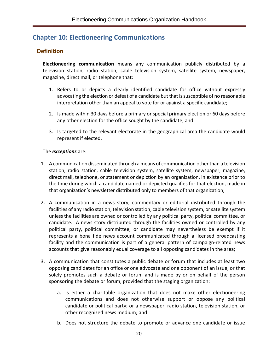# <span id="page-22-0"></span>**Chapter 10: Electioneering Communications**

## <span id="page-22-1"></span>**Definition**

**Electioneering communication** means any communication publicly distributed by a television station, radio station, cable television system, satellite system, newspaper, magazine, direct mail, or telephone that:

- 1. Refers to or depicts a clearly identified candidate for office without expressly advocating the election or defeat of a candidate but that is susceptible of no reasonable interpretation other than an appeal to vote for or against a specific candidate;
- 2. Is made within 30 days before a primary or special primary election or 60 days before any other election for the office sought by the candidate; and
- 3. Is targeted to the relevant electorate in the geographical area the candidate would represent if elected.

#### The *exceptions* are:

- 1. A communication disseminated through a means of communication other than a television station, radio station, cable television system, satellite system, newspaper, magazine, direct mail, telephone, or statement or depiction by an organization, in existence prior to the time during which a candidate named or depicted qualifies for that election, made in that organization's newsletter distributed only to members of that organization;
- 2. A communication in a news story, commentary or editorial distributed through the facilities of any radio station, television station, cable television system, or satellite system unless the facilities are owned or controlled by any political party, political committee, or candidate. A news story distributed through the facilities owned or controlled by any political party, political committee, or candidate may nevertheless be exempt if it represents a bona fide news account communicated through a licensed broadcasting facility and the communication is part of a general pattern of campaign-related news accounts that give reasonably equal coverage to all opposing candidates in the area;
- 3. A communication that constitutes a public debate or forum that includes at least two opposing candidates for an office or one advocate and one opponent of an issue, or that solely promotes such a debate or forum and is made by or on behalf of the person sponsoring the debate or forum, provided that the staging organization:
	- a. Is either a charitable organization that does not make other electioneering communications and does not otherwise support or oppose any political candidate or political party; or a newspaper, radio station, television station, or other recognized news medium; and
	- b. Does not structure the debate to promote or advance one candidate or issue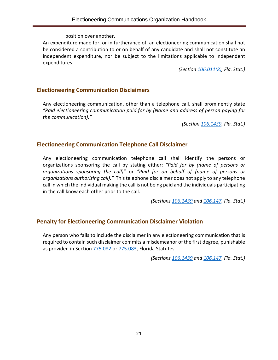position over another.

An expenditure made for, or in furtherance of, an electioneering communication shall not be considered a contribution to or on behalf of any candidate and shall not constitute an independent expenditure, nor be subject to the limitations applicable to independent expenditures.

*(Section [106.011\(8\),](http://www.leg.state.fl.us/Statutes/index.cfm?App_mode=Display_Statute&Search_String=&URL=0100-0199/0106/Sections/0106.011.html) Fla. Stat.)*

#### <span id="page-23-0"></span>**Electioneering Communication Disclaimers**

Any electioneering communication, other than a telephone call, shall prominently state *"Paid electioneering communication paid for by (Name and address of person paying for the communication)."*

*(Section [106.1439,](http://www.leg.state.fl.us/Statutes/index.cfm?App_mode=Display_Statute&Search_String=&URL=0100-0199/0106/Sections/0106.1439.html) Fla. Stat.)*

#### <span id="page-23-1"></span>**Electioneering Communication Telephone Call Disclaimer**

Any electioneering communication telephone call shall identify the persons or organizations sponsoring the call by stating either: *"Paid for by (name of persons or organizations sponsoring the call)"* or *"Paid for on behalf of (name of persons or organizations authorizing call)."* This telephone disclaimer does not apply to any telephone call in which the individual making the call is not being paid and the individuals participating in the call know each other prior to the call.

*(Sections [106.1439](http://www.leg.state.fl.us/Statutes/index.cfm?App_mode=Display_Statute&Search_String=&URL=0100-0199/0106/Sections/0106.1439.html) and [106.147,](http://www.leg.state.fl.us/statutes/index.cfm?mode=View%20Statutes&SubMenu=1&App_mode=Display_Statute&Search_String=106.147&URL=0100-0199/0106/Sections/0106.147.html) Fla. Stat.)*

## <span id="page-23-2"></span>**Penalty for Electioneering Communication Disclaimer Violation**

Any person who fails to include the disclaimer in any electioneering communication that is required to contain such disclaimer commits a misdemeanor of the first degree, punishable as provided in Section [775.082](http://www.leg.state.fl.us/statutes/index.cfm?App_mode=Display_Statute&Search_String=&URL=0700-0799/0775/Sections/0775.082.html) or [775.083,](http://www.leg.state.fl.us/statutes/index.cfm?App_mode=Display_Statute&Search_String=&URL=0700-0799/0775/Sections/0775.083.html) Florida Statutes.

*(Sections [106.1439](http://www.leg.state.fl.us/Statutes/index.cfm?App_mode=Display_Statute&Search_String=&URL=0100-0199/0106/Sections/0106.1439.html) and [106.147,](http://www.leg.state.fl.us/statutes/index.cfm?mode=View%20Statutes&SubMenu=1&App_mode=Display_Statute&Search_String=106.147&URL=0100-0199/0106/Sections/0106.147.html) Fla. Stat.)*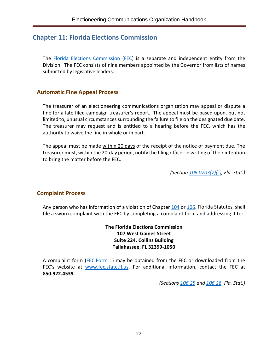## <span id="page-24-0"></span>**Chapter 11: Florida Elections Commission**

The [Florida Elections Commission](http://www.fec.state.fl.us/FECWebFi.nsf/pages/About) [\(FEC\)](http://www.fec.state.fl.us/) is a separate and independent entity from the Division. The FEC consists of nine members appointed by the Governor from lists of names submitted by legislative leaders.

#### <span id="page-24-1"></span>**Automatic Fine Appeal Process**

The treasurer of an electioneering communications organization may appeal or dispute a fine for a late filed campaign treasurer's report. The appeal must be based upon, but not limited to, unusual circumstances surrounding the failure to file on the designated due date. The treasurer may request and is entitled to a hearing before the FEC, which has the authority to waive the fine in whole or in part.

The appeal must be made within 20 days of the receipt of the notice of payment due. The treasurer must, within the 20-day period, notify the filing officer in writing of their intention to bring the matter before the FEC.

*(Section [106.0703\(7\)\(c\),](http://www.leg.state.fl.us/Statutes/index.cfm?App_mode=Display_Statute&Search_String=&URL=0100-0199/0106/Sections/0106.0703.html) Fla. Stat.)*

#### <span id="page-24-2"></span>**Complaint Process**

Any person who has information of a violation of Chapter [104](http://www.leg.state.fl.us/statutes/index.cfm?App_mode=Display_Statute&URL=0100-0199/0104/0104ContentsIndex.html) or [106,](http://www.leg.state.fl.us/statutes/index.cfm?App_mode=Display_Statute&URL=0100-0199/0106/0106ContentsIndex.html) Florida Statutes, shall file a sworn complaint with the FEC by completing a complaint form and addressing it to:

> **The Florida Elections Commission 107 West Gaines Street Suite 224, Collins Building Tallahassee, FL 32399-1050**

A complaint form (FEC [Form 1\)](http://www.fec.state.fl.us/FECWebFi.nsf/0/107B3CBA00C3FF1585257C94004B8528/$file/FEC+Complaint+Form+1-Fillable_August+2017.pdf) may be obtained from the FEC or downloaded from the FEC's website at [www.fec.state.fl.us.](http://www.fec.state.fl.us/) For additional information, contact the FEC at **850.922.4539**.

*(Sections [106.25](http://www.leg.state.fl.us/Statutes/index.cfm?App_mode=Display_Statute&Search_String=&URL=0100-0199/0106/Sections/0106.25.html) and [106.28,](http://www.leg.state.fl.us/Statutes/index.cfm?App_mode=Display_Statute&Search_String=&URL=0100-0199/0106/Sections/0106.28.html) Fla. Stat.)*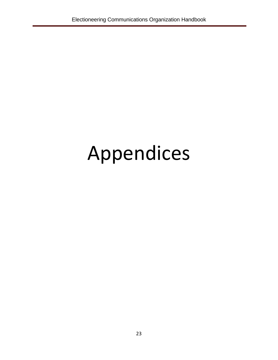# Appendices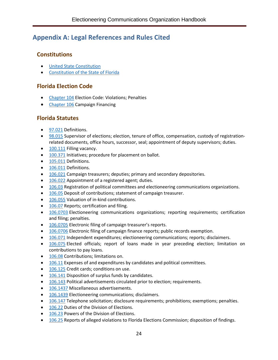# <span id="page-26-0"></span>**Appendix A: Legal References and Rules Cited**

## <span id="page-26-1"></span>**Constitutions**

- [United State Constitution](https://www.archives.gov/founding-docs/constitution-transcript)
- [Constitution of the State of Florida](http://www.leg.state.fl.us/Statutes/index.cfm?Mode=Constitution&Submenu=3&Tab=statutes&CFID=167991000&CFTOKEN=e6f7dd8a6c4814b6-3DEF1D3E-9C67-3689-D4B53F43E5288957)

## <span id="page-26-2"></span>**Florida Election Code**

- [Chapter 104](http://www.leg.state.fl.us/statutes/index.cfm?App_mode=Display_Statute&URL=0100-0199/0104/0104ContentsIndex.html) Election Code: Violations; Penalties
- [Chapter 106](http://www.leg.state.fl.us/Statutes/index.cfm?App_mode=Display_Statute&URL=0100-0199/0106/0106ContentsIndex.html&StatuteYear=2018&Title=%2D%3E2018%2D%3EChapter%20106) Campaign Financing

## <span id="page-26-3"></span>**Florida Statutes**

- [97.021](http://www.leg.state.fl.us/statutes/index.cfm?mode=View%20Statutes&SubMenu=1&App_mode=Display_Statute&Search_String=97.021&URL=0000-0099/0097/Sections/0097.021.html) Definitions.
- [98.015](http://www.leg.state.fl.us/statutes/index.cfm?mode=View%20Statutes&SubMenu=1&App_mode=Display_Statute&Search_String=98.015&URL=0000-0099/0098/Sections/0098.015.html) Supervisor of elections; election, tenure of office, compensation, custody of registrationrelated documents, office hours, successor, seal; appointment of deputy supervisors; duties.
- [100.111](http://www.leg.state.fl.us/statutes/index.cfm?mode=View%20Statutes&SubMenu=1&App_mode=Display_Statute&Search_String=100.111&URL=0100-0199/0100/Sections/0100.111.html) Filling vacancy.
- [100.371](http://www.leg.state.fl.us/statutes/index.cfm?mode=View%20Statutes&SubMenu=1&App_mode=Display_Statute&Search_String=100.371&URL=0100-0199/0100/Sections/0100.371.html) Initiatives; procedure for placement on ballot.
- [105.011](http://www.leg.state.fl.us/statutes/index.cfm?mode=View%20Statutes&SubMenu=1&App_mode=Display_Statute&Search_String=105.011&URL=0100-0199/0105/Sections/0105.011.html) Definitions.
- [106.011](http://www.leg.state.fl.us/Statutes/index.cfm?App_mode=Display_Statute&Search_String=&URL=0100-0199/0106/Sections/0106.011.html) Definitions.
- [106.021](http://www.leg.state.fl.us/Statutes/index.cfm?App_mode=Display_Statute&Search_String=&URL=0100-0199/0106/Sections/0106.021.html) Campaign treasurers; deputies; primary and secondary depositories.
- [106.022](http://www.leg.state.fl.us/Statutes/index.cfm?App_mode=Display_Statute&Search_String=&URL=0100-0199/0106/Sections/0106.022.html) Appointment of a registered agent; duties.
- [106.03](http://www.leg.state.fl.us/Statutes/index.cfm?App_mode=Display_Statute&Search_String=&URL=0100-0199/0106/Sections/0106.03.html) Registration of political committees and electioneering communications organizations.
- [106.05](http://www.leg.state.fl.us/Statutes/index.cfm?App_mode=Display_Statute&Search_String=&URL=0100-0199/0106/Sections/0106.05.html) Deposit of contributions; statement of campaign treasurer.
- [106.055](http://www.leg.state.fl.us/Statutes/index.cfm?App_mode=Display_Statute&Search_String=&URL=0100-0199/0106/Sections/0106.055.html) Valuation of in-kind contributions.
- [106.07](http://www.leg.state.fl.us/Statutes/index.cfm?App_mode=Display_Statute&Search_String=&URL=0100-0199/0106/Sections/0106.07.html) Reports; certification and filing.
- [106.0703](http://www.leg.state.fl.us/Statutes/index.cfm?App_mode=Display_Statute&Search_String=&URL=0100-0199/0106/Sections/0106.0703.html) Electioneering communications organizations; reporting requirements; certification and filing; penalties.
- [106.0705](http://www.leg.state.fl.us/Statutes/index.cfm?App_mode=Display_Statute&Search_String=&URL=0100-0199/0106/Sections/0106.0705.html) Electronic filing of campaign treasurer's reports.
- [106.0706](http://www.leg.state.fl.us/Statutes/index.cfm?App_mode=Display_Statute&Search_String=&URL=0100-0199/0106/Sections/0106.0706.html) Electronic filing of campaign finance reports; public records exemption.
- [106.071](http://www.leg.state.fl.us/Statutes/index.cfm?App_mode=Display_Statute&Search_String=&URL=0100-0199/0106/Sections/0106.071.html) Independent expenditures; electioneering communications; reports; disclaimers.
- [106.075](http://www.leg.state.fl.us/Statutes/index.cfm?App_mode=Display_Statute&Search_String=&URL=0100-0199/0106/Sections/0106.075.html) Elected officials; report of loans made in year preceding election; limitation on contributions to pay loans.
- [106.08](http://www.leg.state.fl.us/statutes/index.cfm?mode=View%20Statutes&SubMenu=1&App_mode=Display_Statute&Search_String=106.08&URL=0100-0199/0106/Sections/0106.08.html) Contributions; limitations on.
- [106.11](http://www.leg.state.fl.us/Statutes/index.cfm?App_mode=Display_Statute&Search_String=&URL=0100-0199/0106/Sections/0106.11.html) Expenses of and expenditures by candidates and political committees.
- [106.125](http://www.leg.state.fl.us/Statutes/index.cfm?App_mode=Display_Statute&Search_String=&URL=0100-0199/0106/Sections/0106.125.html) Credit cards; conditions on use.
- [106.141](http://www.leg.state.fl.us/Statutes/index.cfm?App_mode=Display_Statute&Search_String=&URL=0100-0199/0106/Sections/0106.141.html) Disposition of surplus funds by candidates.
- [106.143](http://www.leg.state.fl.us/Statutes/index.cfm?App_mode=Display_Statute&Search_String=&URL=0100-0199/0106/Sections/0106.143.html) Political advertisements circulated prior to election; requirements.
- [106.1437](http://www.leg.state.fl.us/statutes/index.cfm?mode=View%20Statutes&SubMenu=1&App_mode=Display_Statute&Search_String=106.1437&URL=0100-0199/0106/Sections/0106.1437.html) Miscellaneous advertisements.
- [106.1439](http://www.leg.state.fl.us/Statutes/index.cfm?App_mode=Display_Statute&Search_String=&URL=0100-0199/0106/Sections/0106.1439.html) Electioneering communications; disclaimers.
- [106.147](http://www.leg.state.fl.us/Statutes/index.cfm?App_mode=Display_Statute&Search_String=&URL=0100-0199/0106/Sections/0106.147.html) Telephone solicitation; disclosure requirements; prohibitions; exemptions; penalties.
- [106.22](http://www.leg.state.fl.us/Statutes/index.cfm?App_mode=Display_Statute&Search_String=&URL=0100-0199/0106/Sections/0106.22.html) Duties of the Division of Elections.
- [106.23](http://www.leg.state.fl.us/Statutes/index.cfm?App_mode=Display_Statute&Search_String=&URL=0100-0199/0106/Sections/0106.23.html) Powers of the Division of Elections.
- [106.25](http://www.leg.state.fl.us/Statutes/index.cfm?App_mode=Display_Statute&Search_String=&URL=0100-0199/0106/Sections/0106.25.html) Reports of alleged violations to Florida Elections Commission; disposition of findings.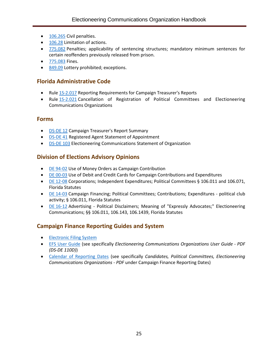- [106.265](http://www.leg.state.fl.us/Statutes/index.cfm?App_mode=Display_Statute&Search_String=&URL=0100-0199/0106/Sections/0106.265.html) Civil penalties.
- [106.28](http://www.leg.state.fl.us/Statutes/index.cfm?App_mode=Display_Statute&Search_String=&URL=0100-0199/0106/Sections/0106.28.html) Limitation of actions.
- [775.082](http://www.leg.state.fl.us/statutes/index.cfm?App_mode=Display_Statute&Search_String=&URL=0700-0799/0775/Sections/0775.082.html) Penalties; applicability of sentencing structures; mandatory minimum sentences for certain reoffenders previously released from prison.
- [775.083](http://www.leg.state.fl.us/statutes/index.cfm?App_mode=Display_Statute&Search_String=&URL=0700-0799/0775/Sections/0775.083.html) Fines.
- [849.09](http://www.leg.state.fl.us/statutes/index.cfm?mode=View%20Statutes&SubMenu=1&App_mode=Display_Statute&Search_String=849.09&URL=0800-0899/0849/Sections/0849.09.html) Lottery prohibited; exceptions.

## <span id="page-27-0"></span>**Florida Administrative Code**

- Rule [1S-2.017](https://www.flrules.org/gateway/RuleNo.asp?title=ELECTIONS&ID=1S-2.017) Reporting Requirements for Campaign Treasurer's Reports
- Rule [1S-2.021](https://www.flrules.org/gateway/RuleNo.asp?title=ELECTIONS&ID=1S-2.021) Cancellation of Registration of Political Committees and Electioneering Communications Organizations

#### <span id="page-27-1"></span>**Forms**

- [DS-DE 12](https://dos.myflorida.com/media/693241/dsde12.pdf) Campaign Treasurer's Report Summary
- [DS-DE 41](http://dos.myflorida.com/media/693270/dsde41.pdf) Registered Agent Statement of Appointment
- [DS-DE 103](http://dos.myflorida.com/media/693290/dsde103.pdf) Electioneering Communications Statement of Organization

## <span id="page-27-2"></span>**Division of Elections Advisory Opinions**

- DE [94-02](http://opinions.dos.state.fl.us/searchable/pdf/1994/de9402.pdf) Use of Money Orders as Campaign Contribution
- DE [00-03](http://opinions.dos.state.fl.us/searchable/pdf/2000/de0003.pdf) Use of Debit and Credit Cards for Campaign Contributions and Expenditures
- DE [12-08](http://opinions.dos.state.fl.us/searchable/pdf/2012/de1208.pdf) Corporations; Independent Expenditures; Political Committees § 106.011 and 106.071, Florida Statutes
- DE [14-03](http://opinions.dos.state.fl.us/searchable/pdf/2014/de1403.pdf) Campaign Financing; Political Committees; Contributions; Expenditures political club activity; § 106.011, Florida Statutes
- DE [16-12](https://dos.myflorida.com/media/697113/de1612.pdf) Advertising Political Disclaimers; Meaning of "Expressly Advocates;" Electioneering Communications; §§ 106.011, 106.143, 106.1439, Florida Statutes

## <span id="page-27-3"></span>**Campaign Finance Reporting Guides and System**

- [Electronic Filing System](https://efs.dos.state.fl.us/)
- [EFS User Guide](https://dos.myflorida.com/elections/candidates-committees/campaign-finance/filing-campaign-reports/) (see specifically *Electioneering Communications Organizations User Guide - PDF (DS-DE 110D)*)
- [Calendar of Reporting Dates](https://dos.myflorida.com/elections/candidates-committees/campaign-finance/filing-campaign-reports/) (see specifically *Candidates, Political Committees, Electioneering Communications Organizations - PDF* under Campaign Finance Reporting Dates)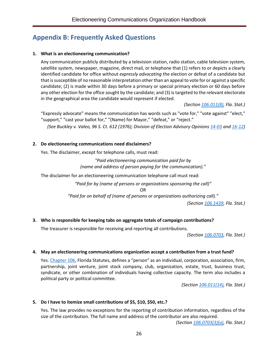# <span id="page-28-0"></span>**Appendix B: Frequently Asked Questions**

#### **1. What is an electioneering communication?**

Any communication publicly distributed by a television station, radio station, cable television system, satellite system, newspaper, magazine, direct mail, or telephone that (1) refers to or depicts a clearly identified candidate for office without *expressly advocating* the election or defeat of a candidate but that is susceptible of no reasonable interpretation other than an appeal to vote for or against a specific candidate; (2) is made within 30 days before a primary or special primary election or 60 days before any other election for the office sought by the candidate; and (3) is targeted to the relevant electorate in the geographical area the candidate would represent if elected.

*(Sectio[n 106.011\(8\),](http://www.leg.state.fl.us/Statutes/index.cfm?App_mode=Display_Statute&Search_String=&URL=0100-0199/0106/Sections/0106.011.html) Fla. Stat.)*

"Expressly advocate" means the communication has words such as "vote for," "vote against" "elect," "support," "cast your ballot for," "(Name) for Mayor," "defeat," or "reject." *(See Buckley v. Valeo, 96 S. Ct. 612 (1976); Division of Election Advisory Opinion[s 14-03](http://opinions.dos.state.fl.us/searchable/pdf/2014/de1403.pdf) and [16-12\)](https://dos.myflorida.com/media/697113/de1612.pdf)*

#### **2. Do electioneering communications need disclaimers?**

Yes. The disclaimer, except for telephone calls, must read:

*"Paid electioneering communication paid for by (name and address of person paying for the communication)."*

The disclaimer for an electioneering communication telephone call must read:

*"Paid for by (name of persons or organizations sponsoring the call)"*

OR

*"Paid for on behalf of (name of persons or organizations authorizing call)."*

*(Section [106.1439,](http://www.leg.state.fl.us/Statutes/index.cfm?App_mode=Display_Statute&Search_String=&URL=0100-0199/0106/Sections/0106.1439.html) Fla. Stat.)*

#### **3. Who is responsible for keeping tabs on aggregate totals of campaign contributions?**

The treasurer is responsible for receiving and reporting all contributions.

*(Sectio[n 106.0703,](http://www.leg.state.fl.us/Statutes/index.cfm?App_mode=Display_Statute&Search_String=&URL=0100-0199/0106/Sections/0106.0703.html) Fla. Stat.)*

#### **4. May an electioneering communications organization accept a contribution from a trust fund?**

Yes. [Chapter](http://www.leg.state.fl.us/Statutes/index.cfm?App_mode=Display_Statute&URL=0100-0199/0106/0106ContentsIndex.html&StatuteYear=2018&Title=%2D%3E2018%2D%3EChapter%20106) 106, Florida Statutes, defines a "person" as an individual, corporation, association, firm, partnership, joint venture, joint stock company, club, organization, estate, trust, business trust, syndicate, or other combination of individuals having collective capacity. The term also includes a political party or political committee.

*(Section [106.011\(14\),](http://www.leg.state.fl.us/Statutes/index.cfm?App_mode=Display_Statute&Search_String=&URL=0100-0199/0106/Sections/0106.011.html) Fla. Stat.)*

#### **5. Do I have to itemize small contributions of \$5, \$10, \$50, etc.?**

Yes. The law provides no exceptions for the reporting of contribution information, regardless of the size of the contribution. The full name and address of the contributor are also required.

*(Section [106.0703\(3\)\(a\),](http://www.leg.state.fl.us/Statutes/index.cfm?App_mode=Display_Statute&Search_String=&URL=0100-0199/0106/Sections/0106.0703.html) Fla. Stat.)*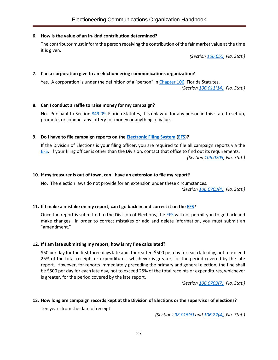#### **6. How is the value of an in-kind contribution determined?**

The contributor must inform the person receiving the contribution of the fair market value at the time it is given.

*(Section [106.055,](http://www.leg.state.fl.us/Statutes/index.cfm?App_mode=Display_Statute&Search_String=&URL=0100-0199/0106/Sections/0106.055.html) Fla. Stat.)*

#### **7. Can a corporation give to an electioneering communications organization?**

Yes. A corporation is under the definition of a "person" in [Chapter 106,](http://www.leg.state.fl.us/Statutes/index.cfm?App_mode=Display_Statute&URL=0100-0199/0106/0106ContentsIndex.html&StatuteYear=2018&Title=%2D%3E2018%2D%3EChapter%20106) Florida Statutes.

*(Section [106.011\(14\),](http://www.leg.state.fl.us/Statutes/index.cfm?App_mode=Display_Statute&Search_String=&URL=0100-0199/0106/Sections/0106.011.html) Fla. Stat.)*

#### **8. Can I conduct a raffle to raise money for my campaign?**

No. Pursuant to Section [849.09,](http://www.leg.state.fl.us/statutes/index.cfm?mode=View%20Statutes&SubMenu=1&App_mode=Display_Statute&Search_String=849.09&URL=0800-0899/0849/Sections/0849.09.html) Florida Statutes, it is unlawful for any person in this state to set up, promote, or conduct any lottery for money or anything of value.

#### **9. Do I have to file campaign reports on the [Electronic Filing System](https://efs.dos.state.fl.us/) [\(EFS\)](https://efs.dos.state.fl.us/)?**

If the Division of Elections is your filing officer, you are required to file all campaign reports via the **[EFS.](https://efs.dos.state.fl.us/)** If your filing officer is other than the Division, contact that office to find out its requirements. *(Section [106.0705,](http://www.leg.state.fl.us/Statutes/index.cfm?App_mode=Display_Statute&Search_String=&URL=0100-0199/0106/Sections/0106.0705.html) Fla. Stat.)*

#### **10. If my treasurer is out of town, can I have an extension to file my report?**

No. The election laws do not provide for an extension under these circumstances.

*(Section [106.0703\(4\),](http://www.leg.state.fl.us/Statutes/index.cfm?App_mode=Display_Statute&Search_String=&URL=0100-0199/0106/Sections/0106.0703.html) Fla. Stat.)*

#### **11. If I make a mistake on my report, can I go back in and correct it on the [EFS?](https://efs.dos.state.fl.us/)**

Once the report is submitted to the Division of Elections, the **EFS** will not permit you to go back and make changes. In order to correct mistakes or add and delete information, you must submit an "amendment."

#### **12. If I am late submitting my report, how is my fine calculated?**

\$50 per day for the first three days late and, thereafter, \$500 per day for each late day, not to exceed 25% of the total receipts or expenditures, whichever is greater, for the period covered by the late report. However, for reports immediately preceding the primary and general election, the fine shall be \$500 per day for each late day, not to exceed 25% of the total receipts or expenditures, whichever is greater, for the period covered by the late report.

*(Section [106.0703\(7\),](http://www.leg.state.fl.us/Statutes/index.cfm?App_mode=Display_Statute&Search_String=&URL=0100-0199/0106/Sections/0106.0703.html) Fla. Stat.)*

#### **13. How long are campaign records kept at the Division of Elections or the supervisor of elections?**

Ten years from the date of receipt.

*(Section[s 98.015\(5\)](http://www.leg.state.fl.us/statutes/index.cfm?mode=View%20Statutes&SubMenu=1&App_mode=Display_Statute&Search_String=98.015&URL=0000-0099/0098/Sections/0098.015.html) and [106.22\(4\),](http://www.leg.state.fl.us/Statutes/index.cfm?App_mode=Display_Statute&Search_String=&URL=0100-0199/0106/Sections/0106.22.html) Fla. Stat.)*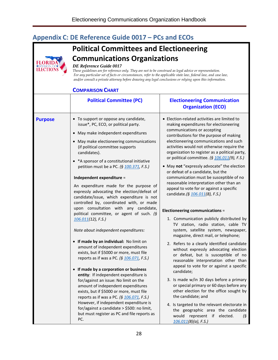# <span id="page-30-0"></span>**Appendix C: DE Reference Guide 0017 – PCs and ECOs**



#### *DE Reference Guide 0017*

**FLOR ELECTIC** 

*These guidelines are for reference only. They are not to be construed as legal advice or representation. For any particular set of facts or circumstances, refer to the applicable state law, federal law, and case law, and/or consult a private attorney before drawing any legal conclusions or relying upon this information.*

#### **COMPARISON CHART**

|                | UIVIFANIJUN UHAN                                                                                                                                                                                                                                                                                                                                                                                                                                                                                                                                                                                                                                                                                                                                                                                                                                                                                                                                                                                                                                                                                                                                                                                                                                                       |                                                                                                                                                                                                                                                                                                                                                                                                                                                                                                                                                                                                                                                                                                                                                                                                                                                                                                                                                                                                                                                                                                                                                                                                                                                                                                                                                                                   |  |  |
|----------------|------------------------------------------------------------------------------------------------------------------------------------------------------------------------------------------------------------------------------------------------------------------------------------------------------------------------------------------------------------------------------------------------------------------------------------------------------------------------------------------------------------------------------------------------------------------------------------------------------------------------------------------------------------------------------------------------------------------------------------------------------------------------------------------------------------------------------------------------------------------------------------------------------------------------------------------------------------------------------------------------------------------------------------------------------------------------------------------------------------------------------------------------------------------------------------------------------------------------------------------------------------------------|-----------------------------------------------------------------------------------------------------------------------------------------------------------------------------------------------------------------------------------------------------------------------------------------------------------------------------------------------------------------------------------------------------------------------------------------------------------------------------------------------------------------------------------------------------------------------------------------------------------------------------------------------------------------------------------------------------------------------------------------------------------------------------------------------------------------------------------------------------------------------------------------------------------------------------------------------------------------------------------------------------------------------------------------------------------------------------------------------------------------------------------------------------------------------------------------------------------------------------------------------------------------------------------------------------------------------------------------------------------------------------------|--|--|
|                | <b>Political Committee (PC)</b>                                                                                                                                                                                                                                                                                                                                                                                                                                                                                                                                                                                                                                                                                                                                                                                                                                                                                                                                                                                                                                                                                                                                                                                                                                        | <b>Electioneering Communication</b><br><b>Organization (ECO)</b>                                                                                                                                                                                                                                                                                                                                                                                                                                                                                                                                                                                                                                                                                                                                                                                                                                                                                                                                                                                                                                                                                                                                                                                                                                                                                                                  |  |  |
| <b>Purpose</b> | • To support or oppose any candidate,<br>issue*, PC, ECO, or political party.<br>• May make independent expenditures<br>• May make electioneering communications<br>(if political committee supports<br>candidates).<br>*A sponsor of a constitutional initiative<br>petition must be a PC. (§ 100.371, F.S.)<br>Independent expenditure =<br>An expenditure made for the purpose of<br>expressly advocating the election/defeat of<br>candidate/issue, which expenditure is not<br>controlled by, coordinated with, or made<br>upon consultation with any candidate,<br>political committee, or agent of such. (§<br>$106.011(12)$ , F.S.)<br>Note about independent expenditures:<br>• If made by an individual: No limit on<br>amount of independent expenditures<br>exists, but if \$5000 or more, must file<br>reports as if was a PC. (§ 106.071, F.S.)<br>• If made by a corporation or business<br>entity: If independent expenditure is<br>for/against an issue: No limit on the<br>amount of independent expenditures<br>exists, but if \$5000 or more, must file<br>reports as if was a PC. (§ 106.071, F.S.)<br>However, if independent expenditure is<br>for/against a candidate > \$500: no limit,<br>but must register as PC and file reports as<br>PC. | • Election-related activities are limited to<br>making expenditures for electioneering<br>communications or accepting<br>contributions for the purpose of making<br>electioneering communications and such<br>activities would not otherwise require the<br>organization to register as a political party,<br>or political committee. (§ 106.011(9), F.S.)<br>• May not "expressly advocate" the election<br>or defeat of a candidate, but the<br>communication must be susceptible of no<br>reasonable interpretation other than an<br>appeal to vote for or against a specific<br>candidate.(§ 106.011(8), F.S.)<br><b>Electioneering communications =</b><br>1. Communication publicly distributed by<br>TV station, radio station, cable TV<br>system, satellite system, newspaper,<br>magazine, direct mail, or telephone;<br>2. Refers to a clearly identified candidate<br>without expressly advocating election<br>or defeat, but is susceptible of no<br>reasonable interpretation other than<br>appeal to vote for or against a specific<br>candidate;<br>3. Is made w/in 30 days before a primary<br>or special primary or 60 days before any<br>other election for the office sought by<br>the candidate; and<br>4. Is targeted to the relevant electorate in<br>the geographic area the candidate<br>would<br>represent if<br>elected.<br>(§<br>106.011(8)(a), F.S.) |  |  |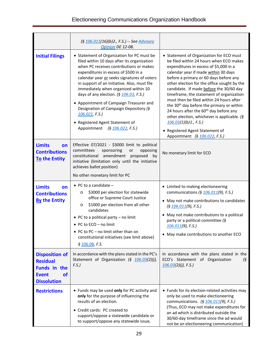|                                                                                                      | (§ 106.011(16)(b)2., F.S.) -- See Advisory<br>Opinion DE 12-08.                                                                                                                                                                                                                                                                                                                                                                                                                                                                            |                                                                                                                                                                                                                                                                                                                                                                                                                                                                                                                                                                                                                                                             |
|------------------------------------------------------------------------------------------------------|--------------------------------------------------------------------------------------------------------------------------------------------------------------------------------------------------------------------------------------------------------------------------------------------------------------------------------------------------------------------------------------------------------------------------------------------------------------------------------------------------------------------------------------------|-------------------------------------------------------------------------------------------------------------------------------------------------------------------------------------------------------------------------------------------------------------------------------------------------------------------------------------------------------------------------------------------------------------------------------------------------------------------------------------------------------------------------------------------------------------------------------------------------------------------------------------------------------------|
| <b>Initial Filings</b>                                                                               | • Statement of Organization for PC must be<br>filed within 10 days after its organization<br>when PC receives contributions or makes<br>expenditures in excess of \$500 in a<br>calendar year or seeks signatures of voters<br>in support of an initiative. Also, must file<br>immediately when organized within 10<br>days of any election. (§ 106.03, F.S.)<br>• Appointment of Campaign Treasurer and<br>Designation of Campaign Depository (§<br>$106.021$ , F.S.)<br>• Registered Agent Statement of<br>Appointment (§ 106.022, F.S.) | • Statement of Organization for ECO must<br>be filed within 24 hours when ECO makes<br>expenditures in excess of \$5,000 in a<br>calendar year if made within 30 days<br>before a primary or 60 days before any<br>other election for the office sought by the<br>candidate. If made before the 30/60 day<br>timeframe, the statement of organization<br>must then be filed within 24 hours after<br>the 30 <sup>th</sup> day before the primary or within<br>24 hours after the 60 <sup>th</sup> day before any<br>other election, whichever is applicable. (§<br>106.03(1)(b)1., F.S.<br>• Registered Agent Statement of<br>Appointment (§ 106.022, F.S.) |
| <b>Limits</b><br>on<br><b>Contributions</b><br>To the Entity                                         | Effective 07/2021 - \$3000 limit to political<br>committees<br>sponsoring<br>or<br>opposing<br>constitutional amendment<br>proposed<br>by<br>initiative (limitation only until the initiative<br>achieves ballot position)<br>No other monetary limit for PC                                                                                                                                                                                                                                                                               | No monetary limit for ECO                                                                                                                                                                                                                                                                                                                                                                                                                                                                                                                                                                                                                                   |
| <b>Limits</b><br>on<br><b>Contributions</b><br><b>By the Entity</b>                                  | • PC to a candidate $-$<br>\$3000 per election for statewide<br>$\circ$<br>office or Supreme Court Justice<br>\$1000 per election from all other<br>$\circ$<br>candidates<br>• PC to a political party - no limit<br>• PC to ECO - no limit<br>• PC to PC – no limit other than on<br>constitutional initiatives (see limit above)<br>§ 106.08, F.S.                                                                                                                                                                                       | • Limited to making electioneering<br>communications (§ 106.011(9), F.S.)<br>• May not make contributions to candidates<br>(§ 106.011(9), F.S.)<br>May not make contributions to a political<br>party or a political committee (§<br>$106.011(9)$ , F.S.)<br>• May make contributions to another ECO                                                                                                                                                                                                                                                                                                                                                        |
| <b>Disposition of</b><br><b>Residual</b><br>Funds in the<br><b>Event</b><br>οf<br><b>Dissolution</b> | In accordance with the plans stated in the PC's<br>Statement of Organization (§ 106.03(2)(j),<br>F.S.)                                                                                                                                                                                                                                                                                                                                                                                                                                     | In accordance with the plans stated in the<br>ECO's Statement of Organization<br>$\sqrt{5}$<br>$106.03(2)(j)$ , F.S.)                                                                                                                                                                                                                                                                                                                                                                                                                                                                                                                                       |
| <b>Restrictions</b>                                                                                  | • Funds may be used only for PC activity and<br>only for the purpose of influencing the<br>results of an election.<br>• Credit cards: PC created to<br>support/oppose a statewide candidate or<br>to support/oppose any statewide issue,                                                                                                                                                                                                                                                                                                   | • Funds for its election-related activities may<br>only be used to make electioneering<br>communications. (§ 106.011(9), F.S.)<br>(Thus, ECO may not make expenditures for<br>an ad which is distributed outside the<br>30/60-day timeframe since the ad would<br>not be an electioneering communication)                                                                                                                                                                                                                                                                                                                                                   |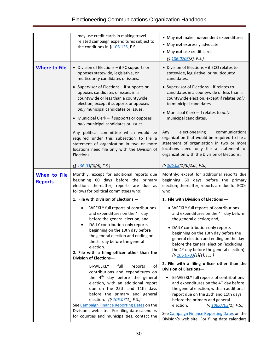|                                | may use credit cards in making travel-<br>related campaign expenditures subject to<br>the conditions in § $106.125$ , F.S.                                                                                                                                                                                                                                                  | • May not make independent expenditures<br>• May not expressly advocate<br>• May not use credit cards.<br>(§ 106.0703(8), F.S.)                                                                                                                                                                                                                                                                                                                                                                                                                                                 |  |
|--------------------------------|-----------------------------------------------------------------------------------------------------------------------------------------------------------------------------------------------------------------------------------------------------------------------------------------------------------------------------------------------------------------------------|---------------------------------------------------------------------------------------------------------------------------------------------------------------------------------------------------------------------------------------------------------------------------------------------------------------------------------------------------------------------------------------------------------------------------------------------------------------------------------------------------------------------------------------------------------------------------------|--|
| <b>Where to File</b>           | • Division of Elections - if PC supports or<br>opposes statewide, legislative, or<br>multicounty candidates or issues.                                                                                                                                                                                                                                                      | • Division of Elections - if ECO relates to<br>statewide, legislative, or multicounty<br>candidates.<br>• Supervisor of Elections - if relates to<br>candidates in a countywide or less than a<br>countywide election, except if relates only<br>to municipal candidates.<br>• Municipal Clerk - if relates to only<br>municipal candidates.<br>electioneering<br>Any<br>communications<br>organization that would be required to file a<br>statement of organization in two or more<br>locations need only file a statement of<br>organization with the Division of Elections. |  |
|                                | • Supervisor of Elections - if supports or<br>opposes candidates or issues in a<br>countywide or less than a countywide<br>election, except if supports or opposes<br>only municipal candidates or issues.<br>• Municipal Clerk - if supports or opposes<br>only municipal candidates or issues.                                                                            |                                                                                                                                                                                                                                                                                                                                                                                                                                                                                                                                                                                 |  |
|                                | Any political committee which would be<br>required under this subsection to file a<br>statement of organization in two or more<br>locations need file only with the Division of<br>Elections.                                                                                                                                                                               |                                                                                                                                                                                                                                                                                                                                                                                                                                                                                                                                                                                 |  |
|                                | (§ 106.03(3)(d), F.S.)                                                                                                                                                                                                                                                                                                                                                      | (§ 106.03(1)(b)2.d., F.S.)                                                                                                                                                                                                                                                                                                                                                                                                                                                                                                                                                      |  |
| When to File<br><b>Reports</b> | Monthly; except for additional reports due<br>beginning 60 days before the primary<br>election; thereafter, reports are due as<br>follows for political committees who:                                                                                                                                                                                                     | Monthly; except for additional reports due<br>beginning 60 days before the primary<br>election; thereafter, reports are due for ECOs<br>who:                                                                                                                                                                                                                                                                                                                                                                                                                                    |  |
|                                | 1. File with Division of Elections -                                                                                                                                                                                                                                                                                                                                        | 1. File with Division of Elections -                                                                                                                                                                                                                                                                                                                                                                                                                                                                                                                                            |  |
|                                | WEEKLY full reports of contributions<br>and expenditures on the 4 <sup>th</sup> day<br>before the general election; and,                                                                                                                                                                                                                                                    | • WEEKLY full reports of contributions<br>and expenditures on the 4 <sup>th</sup> day before<br>the general election; and,                                                                                                                                                                                                                                                                                                                                                                                                                                                      |  |
|                                | DAILY contribution-only reports<br>beginning on the 10th day before<br>the general election and ending on<br>the 5 <sup>th</sup> day before the general<br>election.<br>2. File with a filing officer other than the<br>Division of Elections-                                                                                                                              | • DAILY contribution-only reports<br>beginning on the 10th day before the<br>general election and ending on the day<br>before the general election (excluding<br>the 4 <sup>th</sup> day before the general election).<br>(§ 106.0703(1)(e), F.S.)                                                                                                                                                                                                                                                                                                                              |  |
|                                | of<br><b>BI-WEEKLY</b><br>full<br>reports                                                                                                                                                                                                                                                                                                                                   | 2. File with a filing officer other than the<br>Division of Elections-                                                                                                                                                                                                                                                                                                                                                                                                                                                                                                          |  |
|                                | contributions and expenditures on<br>the 4 <sup>th</sup> day before the general<br>election, with an additional report<br>due on the 25th and 11th days<br>before the primary and general<br>election. (§ 106.07(1), F.S.)<br>See Campaign Finance Reporting Dates on the<br>Division's web site. For filing date calendars<br>for counties and municipalities, contact the | BI-WEEKLY full reports of contributions<br>and expenditures on the 4 <sup>th</sup> day before<br>the general election, with an additional<br>report due on the 25th and 11th days<br>before the primary and general<br>election.<br>(§ 106.0703(1), F.S.)<br>See Campaign Finance Reporting Dates on the<br>Division's web site. For filing date calendars                                                                                                                                                                                                                      |  |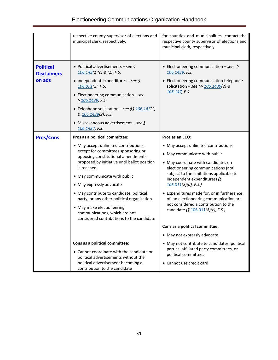|                                                  | respective county supervisor of elections and<br>municipal clerk, respectively.                                                                                                                                                                                                                                                                                       | for counties and municipalities, contact the<br>respective county supervisor of elections and<br>municipal clerk, respectively                                                                                                                                                                                                                                                             |  |
|--------------------------------------------------|-----------------------------------------------------------------------------------------------------------------------------------------------------------------------------------------------------------------------------------------------------------------------------------------------------------------------------------------------------------------------|--------------------------------------------------------------------------------------------------------------------------------------------------------------------------------------------------------------------------------------------------------------------------------------------------------------------------------------------------------------------------------------------|--|
| <b>Political</b><br><b>Disclaimers</b><br>on ads | • Political advertisements – see §<br>$106.143(1)(c)$ & (2), F.S.<br>• Independent expenditures - see $\oint$<br>$106.071(2)$ , F.S.<br>• Electioneering communication $-$ see<br>§ 106.1439, F.S.<br>• Telephone solicitation - see §§ $106.147(1)$<br>& 106.1439(2), F.S.<br>• Miscellaneous advertisement – see §<br>106.1437, F.S.                                | • Electioneering communication – see $\oint$<br>106.1439, F.S.<br>• Electioneering communication telephone<br>solicitation - see §§ $106.1439(2)$ &<br>106.147, F.S.                                                                                                                                                                                                                       |  |
| <b>Pros/Cons</b>                                 | Pros as a political committee:                                                                                                                                                                                                                                                                                                                                        | Pros as an ECO:                                                                                                                                                                                                                                                                                                                                                                            |  |
|                                                  | • May accept unlimited contributions,<br>except for committees sponsoring or<br>opposing constitutional amendments<br>proposed by initiative until ballot position<br>is reached.<br>• May communicate with public<br>• May expressly advocate<br>• May contribute to candidate, political<br>party, or any other political organization<br>• May make electioneering | • May accept unlimited contributions<br>• May communicate with public<br>• May coordinate with candidates on<br>electioneering communications (not<br>subject to the limitations applicable to<br>independent expenditures) (§<br>$106.011(8)(d)$ , F.S.)<br>• Expenditures made for, or in furtherance<br>of, an electioneering communication are<br>not considered a contribution to the |  |
|                                                  | communications, which are not<br>considered contributions to the candidate                                                                                                                                                                                                                                                                                            | candidate (§ 106.011(8)(c), F.S.)                                                                                                                                                                                                                                                                                                                                                          |  |
|                                                  |                                                                                                                                                                                                                                                                                                                                                                       | Cons as a political committee:                                                                                                                                                                                                                                                                                                                                                             |  |
|                                                  |                                                                                                                                                                                                                                                                                                                                                                       | • May not expressly advocate                                                                                                                                                                                                                                                                                                                                                               |  |
|                                                  | Cons as a political committee:                                                                                                                                                                                                                                                                                                                                        | • May not contribute to candidates, political                                                                                                                                                                                                                                                                                                                                              |  |
|                                                  | • Cannot coordinate with the candidate on<br>political advertisements without the                                                                                                                                                                                                                                                                                     | parties, affiliated party committees, or<br>political committees                                                                                                                                                                                                                                                                                                                           |  |
|                                                  | political advertisement becoming a<br>contribution to the candidate                                                                                                                                                                                                                                                                                                   | • Cannot use credit card                                                                                                                                                                                                                                                                                                                                                                   |  |